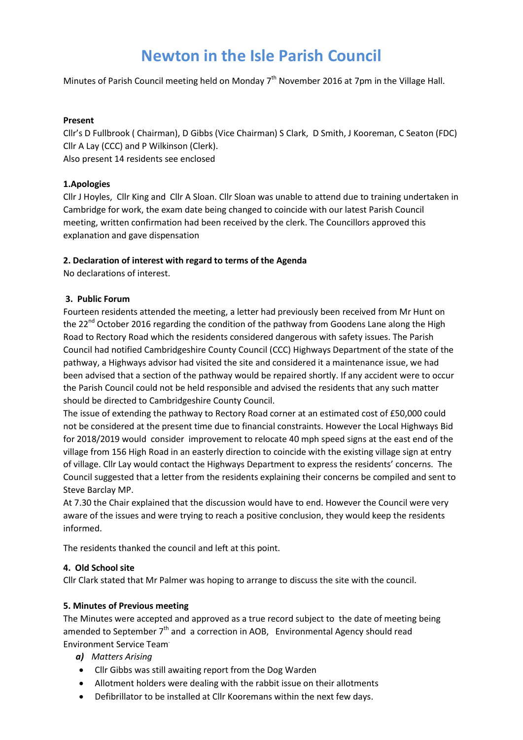# **Newton in the Isle Parish Council**

Minutes of Parish Council meeting held on Monday  $7<sup>th</sup>$  November 2016 at 7pm in the Village Hall.

#### **Present**

Cllr's D Fullbrook ( Chairman), D Gibbs (Vice Chairman) S Clark, D Smith, J Kooreman, C Seaton (FDC) Cllr A Lay (CCC) and P Wilkinson (Clerk). Also present 14 residents see enclosed

## **1.Apologies**

Cllr J Hoyles, Cllr King and Cllr A Sloan. Cllr Sloan was unable to attend due to training undertaken in Cambridge for work, the exam date being changed to coincide with our latest Parish Council meeting, written confirmation had been received by the clerk. The Councillors approved this explanation and gave dispensation

## **2. Declaration of interest with regard to terms of the Agenda**

No declarations of interest.

## **3. Public Forum**

Fourteen residents attended the meeting, a letter had previously been received from Mr Hunt on the 22<sup>nd</sup> October 2016 regarding the condition of the pathway from Goodens Lane along the High Road to Rectory Road which the residents considered dangerous with safety issues. The Parish Council had notified Cambridgeshire County Council (CCC) Highways Department of the state of the pathway, a Highways advisor had visited the site and considered it a maintenance issue, we had been advised that a section of the pathway would be repaired shortly. If any accident were to occur the Parish Council could not be held responsible and advised the residents that any such matter should be directed to Cambridgeshire County Council.

The issue of extending the pathway to Rectory Road corner at an estimated cost of £50,000 could not be considered at the present time due to financial constraints. However the Local Highways Bid for 2018/2019 would consider improvement to relocate 40 mph speed signs at the east end of the village from 156 High Road in an easterly direction to coincide with the existing village sign at entry of village. Cllr Lay would contact the Highways Department to express the residents' concerns. The Council suggested that a letter from the residents explaining their concerns be compiled and sent to Steve Barclay MP.

At 7.30 the Chair explained that the discussion would have to end. However the Council were very aware of the issues and were trying to reach a positive conclusion, they would keep the residents informed.

The residents thanked the council and left at this point.

## **4. Old School site**

Cllr Clark stated that Mr Palmer was hoping to arrange to discuss the site with the council.

## **5. Minutes of Previous meeting**

The Minutes were accepted and approved as a true record subject to the date of meeting being amended to September 7<sup>th</sup> and a correction in AOB, Environmental Agency should read Environment Service Team.

- *a) Matters Arising*
- Cllr Gibbs was still awaiting report from the Dog Warden
- Allotment holders were dealing with the rabbit issue on their allotments
- Defibrillator to be installed at Cllr Kooremans within the next few days.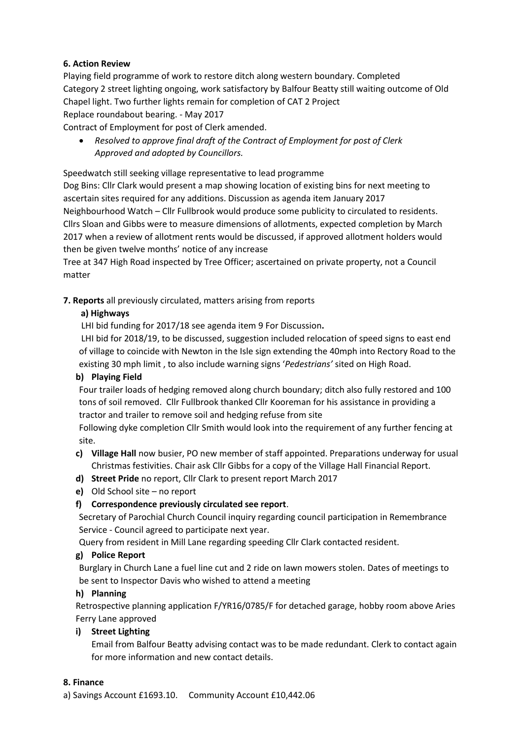## **6. Action Review**

Playing field programme of work to restore ditch along western boundary. Completed Category 2 street lighting ongoing, work satisfactory by Balfour Beatty still waiting outcome of Old Chapel light. Two further lights remain for completion of CAT 2 Project Replace roundabout bearing. - May 2017

Contract of Employment for post of Clerk amended.

 *Resolved to approve final draft of the Contract of Employment for post of Clerk Approved and adopted by Councillors.*

Speedwatch still seeking village representative to lead programme

Dog Bins: Cllr Clark would present a map showing location of existing bins for next meeting to ascertain sites required for any additions. Discussion as agenda item January 2017 Neighbourhood Watch – Cllr Fullbrook would produce some publicity to circulated to residents. Cllrs Sloan and Gibbs were to measure dimensions of allotments, expected completion by March 2017 when a review of allotment rents would be discussed, if approved allotment holders would then be given twelve months' notice of any increase

Tree at 347 High Road inspected by Tree Officer; ascertained on private property, not a Council matter

**7. Reports** all previously circulated, matters arising from reports

## **a) Highways**

LHI bid funding for 2017/18 see agenda item 9 For Discussion**.** 

LHI bid for 2018/19, to be discussed, suggestion included relocation of speed signs to east end of village to coincide with Newton in the Isle sign extending the 40mph into Rectory Road to the existing 30 mph limit , to also include warning signs '*Pedestrians'* sited on High Road.

## **b) Playing Field**

Four trailer loads of hedging removed along church boundary; ditch also fully restored and 100 tons of soil removed. Cllr Fullbrook thanked Cllr Kooreman for his assistance in providing a tractor and trailer to remove soil and hedging refuse from site

Following dyke completion Cllr Smith would look into the requirement of any further fencing at site.

- **c) Village Hall** now busier, PO new member of staff appointed. Preparations underway for usual Christmas festivities. Chair ask Cllr Gibbs for a copy of the Village Hall Financial Report.
- **d) Street Pride** no report, Cllr Clark to present report March 2017
- **e)** Old School site no report

## **f) Correspondence previously circulated see report**.

Secretary of Parochial Church Council inquiry regarding council participation in Remembrance Service - Council agreed to participate next year.

Query from resident in Mill Lane regarding speeding Cllr Clark contacted resident.

## **g) Police Report**

Burglary in Church Lane a fuel line cut and 2 ride on lawn mowers stolen. Dates of meetings to be sent to Inspector Davis who wished to attend a meeting

## **h) Planning**

Retrospective planning application F/YR16/0785/F for detached garage, hobby room above Aries Ferry Lane approved

## **i) Street Lighting**

Email from Balfour Beatty advising contact was to be made redundant. Clerk to contact again for more information and new contact details.

## **8. Finance**